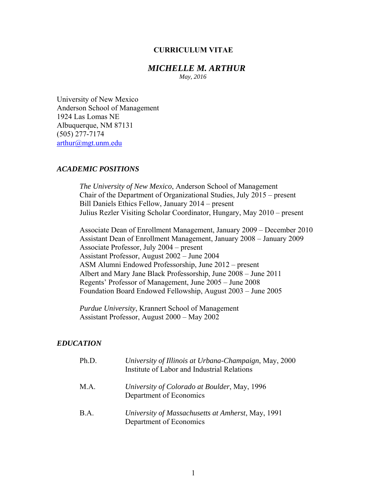#### **CURRICULUM VITAE**

## *MICHELLE M. ARTHUR*

 *May, 2016*

University of New Mexico Anderson School of Management 1924 Las Lomas NE Albuquerque, NM 87131 (505) 277-7174 arthur@mgt.unm.edu

## *ACADEMIC POSITIONS*

 *The University of New Mexico*, Anderson School of Management Chair of the Department of Organizational Studies, July 2015 – present Bill Daniels Ethics Fellow, January 2014 – present Julius Rezler Visiting Scholar Coordinator, Hungary, May 2010 – present

Associate Dean of Enrollment Management, January 2009 – December 2010 Assistant Dean of Enrollment Management, January 2008 – January 2009 Associate Professor, July 2004 – present Assistant Professor, August 2002 – June 2004 ASM Alumni Endowed Professorship, June 2012 – present Albert and Mary Jane Black Professorship, June 2008 – June 2011 Regents' Professor of Management, June 2005 – June 2008 Foundation Board Endowed Fellowship, August 2003 – June 2005

 *Purdue University*, Krannert School of Management Assistant Professor, August 2000 – May 2002

#### *EDUCATION*

| Ph.D. | University of Illinois at Urbana-Champaign, May, 2000<br>Institute of Labor and Industrial Relations |
|-------|------------------------------------------------------------------------------------------------------|
| M.A.  | University of Colorado at Boulder, May, 1996<br>Department of Economics                              |
| B.A.  | University of Massachusetts at Amherst, May, 1991<br>Department of Economics                         |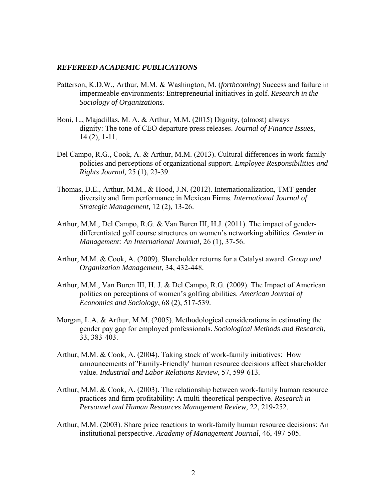#### *REFEREED ACADEMIC PUBLICATIONS*

- Patterson, K.D.W., Arthur, M.M. & Washington, M. (*forthcoming*) Success and failure in impermeable environments: Entrepreneurial initiatives in golf. *Research in the Sociology of Organizations.*
- Boni, L., Majadillas, M. A. & Arthur, M.M. (2015) Dignity, (almost) always dignity: The tone of CEO departure press releases. *Journal of Finance Issues*, 14 (2), 1-11.
- Del Campo, R.G., Cook, A. & Arthur, M.M. (2013). Cultural differences in work-family policies and perceptions of organizational support. *Employee Responsibilities and Rights Journal,* 25 (1), 23-39.
- Thomas, D.E., Arthur, M.M., & Hood, J.N*.* (2012)*.* Internationalization, TMT gender diversity and firm performance in Mexican Firms. *International Journal of Strategic Management,* 12 (2), 13-26.
- Arthur, M.M., Del Campo, R.G. & Van Buren III, H.J. (2011). The impact of genderdifferentiated golf course structures on women's networking abilities. *Gender in Management: An International Journal,* 26 (1), 37-56.
- Arthur, M.M. & Cook, A. (2009). Shareholder returns for a Catalyst award. *Group and Organization Management*, 34, 432-448.
- Arthur, M.M., Van Buren III, H. J. & Del Campo, R.G. (2009). The Impact of American politics on perceptions of women's golfing abilities. *American Journal of Economics and Sociology*, 68 (2), 517-539.
- Morgan, L.A. & Arthur, M.M. (2005). Methodological considerations in estimating the gender pay gap for employed professionals. *Sociological Methods and Research*, 33, 383-403.
- Arthur, M.M. & Cook, A. (2004). Taking stock of work-family initiatives: How announcements of 'Family-Friendly' human resource decisions affect shareholder value. *Industrial and Labor Relations Review*, 57, 599-613.
- Arthur, M.M. & Cook, A. (2003). The relationship between work-family human resource practices and firm profitability: A multi-theoretical perspective. *Research in Personnel and Human Resources Management Review*, 22, 219-252.
- Arthur, M.M. (2003). Share price reactions to work-family human resource decisions: An institutional perspective. *Academy of Management Journal*, 46, 497-505.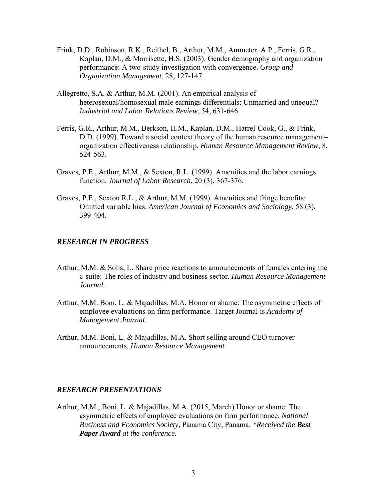- Frink, D.D., Robinson, R.K., Reithel, B., Arthur, M.M., Ammeter, A.P., Ferris, G.R., Kaplan, D.M., & Morrisette, H.S. (2003). Gender demography and organization performance: A two-study investigation with convergence. *Group and Organization Management*, 28, 127-147.
- Allegretto, S.A. & Arthur, M.M. (2001). An empirical analysis of heterosexual/homosexual male earnings differentials: Unmarried and unequal? *Industrial and Labor Relations Review*, 54, 631-646.
- Ferris, G.R., Arthur, M.M., Berkson, H.M., Kaplan, D.M., Harrel-Cook, G., & Frink, D.D. (1999). Toward a social context theory of the human resource management– organization effectiveness relationship. *Human Resource Management Review*, 8, 524-563.
- Graves, P.E., Arthur, M.M., & Sexton, R.L. (1999). Amenities and the labor earnings function. *Journal of Labor Research*, 20 (3), 367-376.
- Graves, P.E., Sexton R.L., & Arthur, M.M. (1999). Amenities and fringe benefits: Omitted variable bias. *American Journal of Economics and Sociology*, 58 (3), 399-404*.*

#### *RESEARCH IN PROGRESS*

- Arthur, M.M. & Solis, L. Share price reactions to announcements of females entering the c-suite: The roles of industry and business sector. *Human Resource Management Journal.*
- Arthur, M.M. Boni, L. & Majadillas, M.A. Honor or shame: The asymmetric effects of employee evaluations on firm performance. Target Journal is *Academy of Management Journal*.
- Arthur, M.M. Boni, L. & Majadillas, M.A. Short selling around CEO turnover announcements. *Human Resource Management*

# *RESEARCH PRESENTATIONS*

Arthur, M.M., Boni, L. & Majadillas, M.A. (2015, March) Honor or shame: The asymmetric effects of employee evaluations on firm performance. *National Business and Economics Society,* Panama City, Panama. *\*Received the Best Paper Award at the conference.*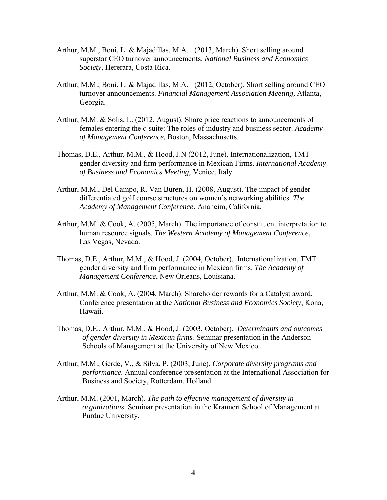- Arthur, M.M., Boni, L. & Majadillas, M.A. (2013, March). Short selling around superstar CEO turnover announcements. *National Business and Economics Society,* Hererara, Costa Rica.
- Arthur, M.M., Boni, L. & Majadillas, M.A. (2012, October). Short selling around CEO turnover announcements. *Financial Management Association Meeting,* Atlanta, Georgia.
- Arthur, M.M. & Solis, L. (2012, August). Share price reactions to announcements of females entering the c-suite: The roles of industry and business sector. *Academy of Management Conference,* Boston, Massachusetts.
- Thomas, D.E., Arthur, M.M., & Hood, J.N (2012, June). Internationalization, TMT gender diversity and firm performance in Mexican Firms. *International Academy of Business and Economics Meeting*, Venice, Italy.
- Arthur, M.M., Del Campo, R. Van Buren, H. (2008, August). The impact of genderdifferentiated golf course structures on women's networking abilities. *The Academy of Management Conference*, Anaheim, California.
- Arthur, M.M. & Cook, A. (2005, March). The importance of constituent interpretation to human resource signals. *The Western Academy of Management Conference*, Las Vegas, Nevada.
- Thomas, D.E., Arthur, M.M., & Hood, J. (2004, October). Internationalization, TMT gender diversity and firm performance in Mexican firms. *The Academy of Management Conference*, New Orleans, Louisiana.
- Arthur, M.M. & Cook, A. (2004, March). Shareholder rewards for a Catalyst award. Conference presentation at the *National Business and Economics Society*, Kona, Hawaii.
- Thomas, D.E., Arthur, M.M., & Hood, J. (2003, October). *Determinants and outcomes of gender diversity in Mexican firms.* Seminar presentation in the Anderson Schools of Management at the University of New Mexico.
- Arthur, M.M., Gerde, V., & Silva, P. (2003, June). *Corporate diversity programs and performance.* Annual conference presentation at the International Association for Business and Society, Rotterdam, Holland.
- Arthur, M.M. (2001, March). *The path to effective management of diversity in organizations*. Seminar presentation in the Krannert School of Management at Purdue University.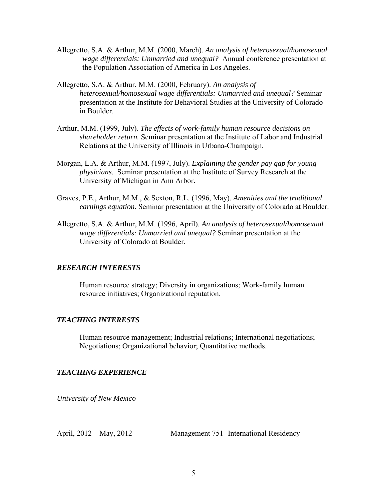- Allegretto, S.A. & Arthur, M.M. (2000, March). *An analysis of heterosexual/homosexual wage differentials: Unmarried and unequal?* Annual conference presentation at the Population Association of America in Los Angeles.
- Allegretto, S.A. & Arthur, M.M. (2000, February). *An analysis of heterosexual/homosexual wage differentials: Unmarried and unequal?* Seminar presentation at the Institute for Behavioral Studies at the University of Colorado in Boulder.
- Arthur, M.M. (1999, July). *The effects of work-family human resource decisions on shareholder return.* Seminar presentation at the Institute of Labor and Industrial Relations at the University of Illinois in Urbana-Champaign.
- Morgan, L.A. & Arthur, M.M. (1997, July). *Explaining the gender pay gap for young physicians*. Seminar presentation at the Institute of Survey Research at the University of Michigan in Ann Arbor.
- Graves, P.E., Arthur, M.M., & Sexton, R.L. (1996, May). *Amenities and the traditional earnings equation.* Seminar presentation at the University of Colorado at Boulder.
- Allegretto, S.A. & Arthur, M.M. (1996, April). *An analysis of heterosexual/homosexual wage differentials: Unmarried and unequal?* Seminar presentation at the University of Colorado at Boulder.

## *RESEARCH INTERESTS*

Human resource strategy; Diversity in organizations; Work-family human resource initiatives; Organizational reputation.

## *TEACHING INTERESTS*

Human resource management; Industrial relations; International negotiations; Negotiations; Organizational behavior; Quantitative methods.

#### *TEACHING EXPERIENCE*

*University of New Mexico* 

April, 2012 – May, 2012 Management 751- International Residency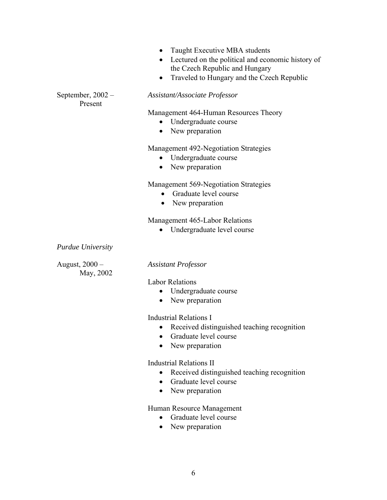- Taught Executive MBA students
- Lectured on the political and economic history of the Czech Republic and Hungary
- Traveled to Hungary and the Czech Republic

September, 2002 – *Assistant/Associate Professor* 

Management 464-Human Resources Theory

- Undergraduate course
- New preparation

## Management 492-Negotiation Strategies

- Undergraduate course
- New preparation

## Management 569-Negotiation Strategies

- Graduate level course
- New preparation

Management 465-Labor Relations

Undergraduate level course

*Purdue University* 

Present

May, 2002

## August, 2000 – *Assistant Professor*

#### Labor Relations

- Undergraduate course
- New preparation

#### **Industrial Relations I**

- Received distinguished teaching recognition
- Graduate level course
- New preparation

#### Industrial Relations II

- Received distinguished teaching recognition
- Graduate level course
- New preparation

## Human Resource Management

- Graduate level course
- New preparation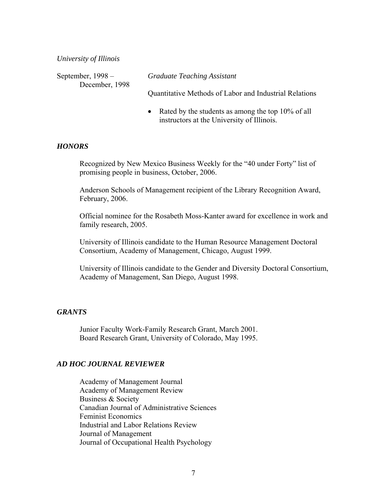*University of Illinois* 

| September, $1998 -$ | <b>Graduate Teaching Assistant</b>                     |
|---------------------|--------------------------------------------------------|
| December, 1998      |                                                        |
|                     | Quantitative Methods of Labor and Industrial Relations |

• Rated by the students as among the top 10% of all instructors at the University of Illinois.

## *HONORS*

 Recognized by New Mexico Business Weekly for the "40 under Forty" list of promising people in business, October, 2006.

 Anderson Schools of Management recipient of the Library Recognition Award, February, 2006.

 Official nominee for the Rosabeth Moss-Kanter award for excellence in work and family research, 2005.

University of Illinois candidate to the Human Resource Management Doctoral Consortium, Academy of Management, Chicago, August 1999.

University of Illinois candidate to the Gender and Diversity Doctoral Consortium, Academy of Management, San Diego, August 1998.

## *GRANTS*

Junior Faculty Work-Family Research Grant, March 2001. Board Research Grant, University of Colorado, May 1995.

#### *AD HOC JOURNAL REVIEWER*

Academy of Management Journal Academy of Management Review Business & Society Canadian Journal of Administrative Sciences Feminist Economics Industrial and Labor Relations Review Journal of Management Journal of Occupational Health Psychology